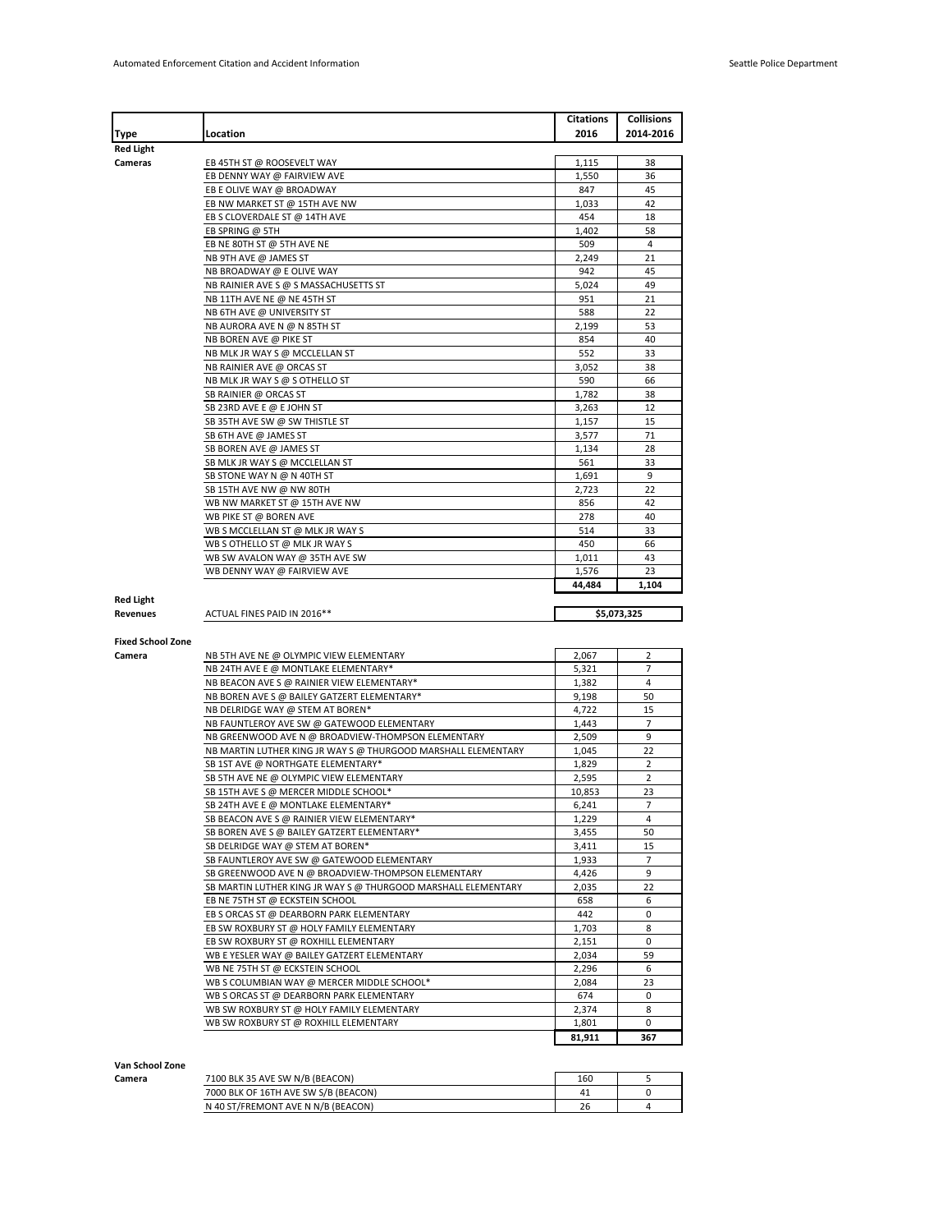|                                                | Location                                                                           | Citations<br>2016 | <b>Collisions</b><br>2014-2016 |
|------------------------------------------------|------------------------------------------------------------------------------------|-------------------|--------------------------------|
| Type<br>Red Light                              |                                                                                    |                   |                                |
| Cameras                                        | EB 45TH ST @ ROOSEVELT WAY                                                         | 1,115             | 38                             |
|                                                | EB DENNY WAY @ FAIRVIEW AVE                                                        | 1,550             | 36                             |
|                                                | EB E OLIVE WAY @ BROADWAY                                                          | 847               | 45                             |
|                                                | EB NW MARKET ST @ 15TH AVE NW                                                      | 1,033             | 42                             |
|                                                | EB S CLOVERDALE ST @ 14TH AVE                                                      | 454               | 18                             |
|                                                | EB SPRING @ 5TH                                                                    | 1,402             | 58                             |
|                                                | EB NE 80TH ST @ 5TH AVE NE                                                         | 509               | 4                              |
|                                                | NB 9TH AVE @ JAMES ST                                                              | 2,249             | 21                             |
|                                                | NB BROADWAY @ E OLIVE WAY                                                          | 942               | 45                             |
|                                                | NB RAINIER AVE S @ S MASSACHUSETTS ST                                              | 5,024             | 49                             |
|                                                | NB 11TH AVE NE @ NE 45TH ST                                                        | 951               | 21                             |
|                                                | NB 6TH AVE @ UNIVERSITY ST                                                         | 588               | 22                             |
|                                                | NB AURORA AVE N @ N 85TH ST                                                        | 2,199             | 53                             |
|                                                | NB BOREN AVE @ PIKE ST                                                             | 854               | 40                             |
|                                                | NB MLK JR WAY S @ MCCLELLAN ST                                                     | 552               | 33                             |
|                                                | NB RAINIER AVE @ ORCAS ST                                                          | 3,052             | 38                             |
|                                                | NB MLK JR WAY S @ S OTHELLO ST                                                     | 590               | 66                             |
|                                                | SB RAINIER @ ORCAS ST                                                              | 1,782             | 38                             |
|                                                | SB 23RD AVE E @ E JOHN ST                                                          | 3,263             | 12                             |
|                                                | SB 35TH AVE SW @ SW THISTLE ST                                                     | 1,157             | 15                             |
|                                                | SB 6TH AVE @ JAMES ST                                                              | 3,577             | 71                             |
|                                                | SB BOREN AVE @ JAMES ST                                                            | 1,134             | 28                             |
|                                                | SB MLK JR WAY S @ MCCLELLAN ST                                                     | 561               | 33                             |
|                                                | SB STONE WAY N @ N 40TH ST                                                         | 1,691             | 9                              |
|                                                | SB 15TH AVE NW @ NW 80TH                                                           | 2,723             | 22                             |
|                                                | WB NW MARKET ST @ 15TH AVE NW                                                      | 856               | 42                             |
|                                                | WB PIKE ST @ BOREN AVE                                                             | 278               | 40                             |
|                                                | WB S MCCLELLAN ST @ MLK JR WAY S                                                   | 514               | 33                             |
|                                                | WB S OTHELLO ST @ MLK JR WAY S                                                     | 450               | 66                             |
|                                                | WB SW AVALON WAY @ 35TH AVE SW                                                     | 1,011             | 43                             |
|                                                | WB DENNY WAY @ FAIRVIEW AVE                                                        | 1,576             | 23                             |
|                                                |                                                                                    |                   |                                |
|                                                |                                                                                    | 44,484            | 1,104                          |
| <b>Red Light</b>                               |                                                                                    |                   |                                |
|                                                | ACTUAL FINES PAID IN 2016**                                                        |                   | \$5,073,325                    |
|                                                |                                                                                    |                   |                                |
|                                                |                                                                                    |                   |                                |
|                                                | NB 5TH AVE NE @ OLYMPIC VIEW ELEMENTARY                                            | 2,067             | 2                              |
|                                                | NB 24TH AVE E @ MONTLAKE ELEMENTARY*                                               | 5,321             | 7                              |
|                                                | NB BEACON AVE S @ RAINIER VIEW ELEMENTARY*                                         | 1,382             | 4                              |
|                                                | NB BOREN AVE S @ BAILEY GATZERT ELEMENTARY*                                        | 9,198             | 50                             |
|                                                | NB DELRIDGE WAY @ STEM AT BOREN*                                                   | 4,722             | 15                             |
|                                                | NB FAUNTLEROY AVE SW @ GATEWOOD ELEMENTARY                                         | 1,443             | 7                              |
|                                                | NB GREENWOOD AVE N @ BROADVIEW-THOMPSON ELEMENTARY                                 | 2,509             | 9                              |
|                                                | NB MARTIN LUTHER KING JR WAY S @ THURGOOD MARSHALL ELEMENTARY                      | 1,045             | 22                             |
|                                                | SB 1ST AVE @ NORTHGATE ELEMENTARY*                                                 | 1,829             | 2                              |
|                                                | SB 5TH AVE NE @ OLYMPIC VIEW ELEMENTARY                                            | 2,595             | 2                              |
|                                                | SB 15TH AVE S @ MERCER MIDDLE SCHOOL*                                              | 10,853            | 23                             |
|                                                | SB 24TH AVE E @ MONTLAKE ELEMENTARY*                                               | 6,241             | 7                              |
|                                                | SB BEACON AVE S @ RAINIER VIEW ELEMENTARY*                                         | 1,229             | 4                              |
|                                                | SB BOREN AVE S @ BAILEY GATZERT ELEMENTARY*                                        | 3,455             | 50                             |
|                                                | SB DELRIDGE WAY @ STEM AT BOREN*                                                   | 3,411             | 15                             |
|                                                | SB FAUNTLEROY AVE SW @ GATEWOOD ELEMENTARY                                         | 1,933             | 7                              |
|                                                | SB GREENWOOD AVE N @ BROADVIEW-THOMPSON ELEMENTARY                                 | 4,426             | 9                              |
|                                                | SB MARTIN LUTHER KING JR WAY S @ THURGOOD MARSHALL ELEMENTARY                      | 2,035             | 22                             |
|                                                | EB NE 75TH ST @ ECKSTEIN SCHOOL                                                    | 658               | 6                              |
|                                                | EB S ORCAS ST @ DEARBORN PARK ELEMENTARY                                           | 442               | 0                              |
|                                                | EB SW ROXBURY ST @ HOLY FAMILY ELEMENTARY                                          | 1,703             | 8                              |
|                                                | EB SW ROXBURY ST @ ROXHILL ELEMENTARY                                              | 2,151             | 0                              |
|                                                | WB E YESLER WAY @ BAILEY GATZERT ELEMENTARY                                        | 2,034             | 59                             |
|                                                | WB NE 75TH ST @ ECKSTEIN SCHOOL                                                    | 2,296             | 6                              |
|                                                | WB S COLUMBIAN WAY @ MERCER MIDDLE SCHOOL*                                         | 2,084             | 23                             |
|                                                | WB S ORCAS ST @ DEARBORN PARK ELEMENTARY                                           | 674               | 0                              |
| Revenues<br><b>Fixed School Zone</b><br>Camera | WB SW ROXBURY ST @ HOLY FAMILY ELEMENTARY<br>WB SW ROXBURY ST @ ROXHILL ELEMENTARY | 2,374<br>1,801    | 8<br>$\mathbf 0$               |

| Van School Zone |                                      |     |  |
|-----------------|--------------------------------------|-----|--|
| Camera          | 7100 BLK 35 AVE SW N/B (BEACON)      | 160 |  |
|                 | 7000 BLK OF 16TH AVE SW S/B (BEACON) | 41  |  |
|                 | N 40 ST/FREMONT AVE N N/B (BEACON)   | 26  |  |
|                 |                                      |     |  |